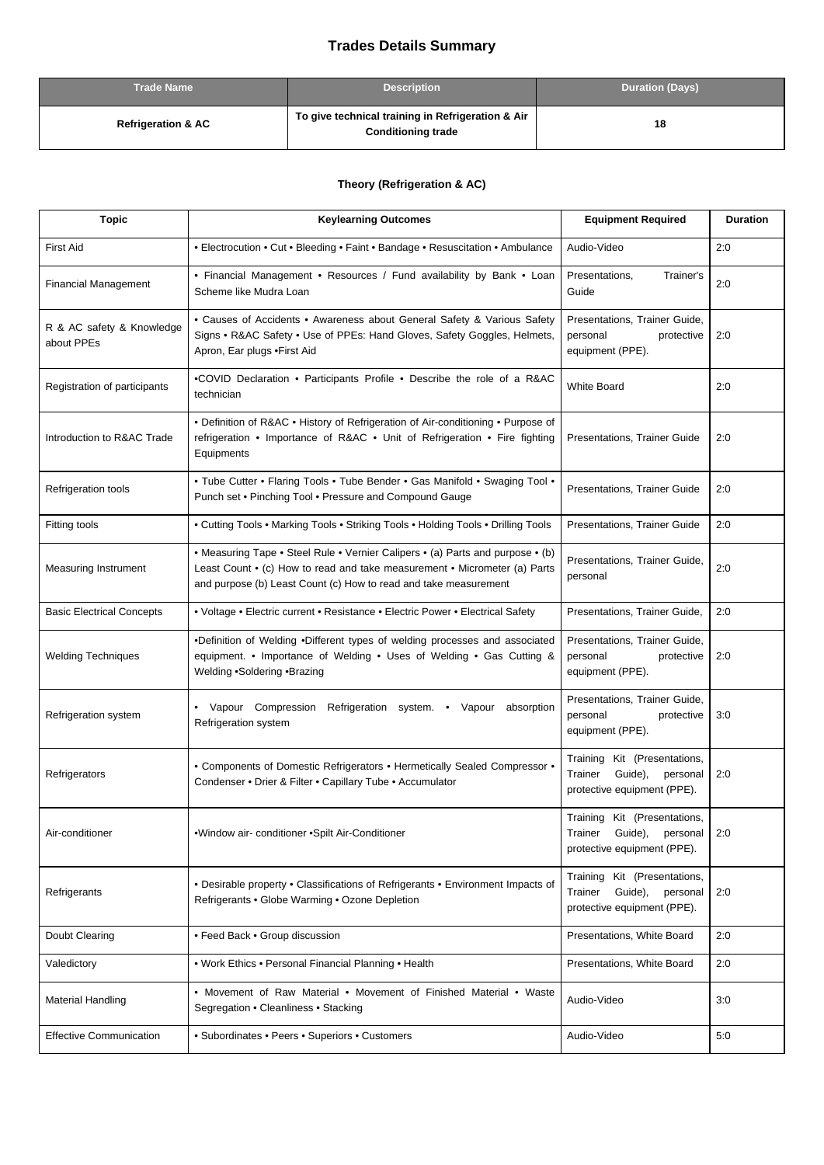## **Trades Details Summary**

| <b>Trade Name</b>             | <b>Description</b>                                                             | <b>Duration (Days)</b> |
|-------------------------------|--------------------------------------------------------------------------------|------------------------|
| <b>Refrigeration &amp; AC</b> | To give technical training in Refrigeration & Air<br><b>Conditioning trade</b> | 18                     |

## **Theory (Refrigeration & AC)**

| <b>Topic</b>                            | <b>Keylearning Outcomes</b>                                                                                                                                                                                                     | <b>Equipment Required</b>                                                                     | <b>Duration</b> |
|-----------------------------------------|---------------------------------------------------------------------------------------------------------------------------------------------------------------------------------------------------------------------------------|-----------------------------------------------------------------------------------------------|-----------------|
| <b>First Aid</b>                        | • Electrocution • Cut • Bleeding • Faint • Bandage • Resuscitation • Ambulance                                                                                                                                                  | Audio-Video                                                                                   | 2:0             |
| <b>Financial Management</b>             | • Financial Management • Resources / Fund availability by Bank • Loan<br>Scheme like Mudra Loan                                                                                                                                 | Presentations,<br>Trainer's<br>Guide                                                          | 2:0             |
| R & AC safety & Knowledge<br>about PPEs | • Causes of Accidents • Awareness about General Safety & Various Safety<br>Signs • R&AC Safety • Use of PPEs: Hand Gloves, Safety Goggles, Helmets,<br>Apron, Ear plugs .First Aid                                              | Presentations, Trainer Guide,<br>personal<br>protective<br>equipment (PPE).                   | 2:0             |
| Registration of participants            | •COVID Declaration • Participants Profile • Describe the role of a R&AC<br>technician                                                                                                                                           | <b>White Board</b>                                                                            | 2:0             |
| Introduction to R&AC Trade              | • Definition of R&AC • History of Refrigeration of Air-conditioning • Purpose of<br>refrigeration • Importance of R&AC • Unit of Refrigeration • Fire fighting<br>Equipments                                                    | Presentations, Trainer Guide                                                                  | 2:0             |
| Refrigeration tools                     | • Tube Cutter • Flaring Tools • Tube Bender • Gas Manifold • Swaging Tool •<br>Punch set . Pinching Tool . Pressure and Compound Gauge                                                                                          | Presentations, Trainer Guide                                                                  | 2:0             |
| <b>Fitting tools</b>                    | • Cutting Tools • Marking Tools • Striking Tools • Holding Tools • Drilling Tools                                                                                                                                               | Presentations, Trainer Guide                                                                  | 2:0             |
| <b>Measuring Instrument</b>             | • Measuring Tape • Steel Rule • Vernier Calipers • (a) Parts and purpose • (b)<br>Least Count • (c) How to read and take measurement • Micrometer (a) Parts<br>and purpose (b) Least Count (c) How to read and take measurement | Presentations, Trainer Guide,<br>personal                                                     | 2:0             |
| <b>Basic Electrical Concepts</b>        | • Voltage • Electric current • Resistance • Electric Power • Electrical Safety                                                                                                                                                  | Presentations, Trainer Guide,                                                                 | 2:0             |
| <b>Welding Techniques</b>               | •Definition of Welding •Different types of welding processes and associated<br>equipment. • Importance of Welding • Uses of Welding • Gas Cutting &<br>Welding .Soldering .Brazing                                              | Presentations, Trainer Guide,<br>personal<br>protective<br>equipment (PPE).                   | 2:0             |
| Refrigeration system                    | • Vapour Compression<br>Refrigeration system. • Vapour absorption<br>Refrigeration system                                                                                                                                       | Presentations, Trainer Guide,<br>personal<br>protective<br>equipment (PPE).                   | 3:0             |
| Refrigerators                           | • Components of Domestic Refrigerators • Hermetically Sealed Compressor •<br>Condenser • Drier & Filter • Capillary Tube • Accumulator                                                                                          | Training Kit (Presentations,<br>Trainer<br>Guide),<br>personal<br>protective equipment (PPE). | 2:0             |
| Air-conditioner                         | •Window air- conditioner • Spilt Air-Conditioner                                                                                                                                                                                | Training Kit (Presentations,<br>Trainer Guide),<br>personal<br>protective equipment (PPE).    | 2:0             |
| Refrigerants                            | • Desirable property • Classifications of Refrigerants • Environment Impacts of<br>Refrigerants • Globe Warming • Ozone Depletion                                                                                               | Training Kit (Presentations,<br>Guide),<br>Trainer<br>personal<br>protective equipment (PPE). | 2:0             |
| Doubt Clearing                          | • Feed Back • Group discussion                                                                                                                                                                                                  | Presentations, White Board                                                                    | 2:0             |
| Valedictory                             | . Work Ethics . Personal Financial Planning . Health                                                                                                                                                                            | Presentations, White Board                                                                    | 2:0             |
| <b>Material Handling</b>                | • Movement of Raw Material • Movement of Finished Material • Waste<br>Segregation . Cleanliness . Stacking                                                                                                                      | Audio-Video                                                                                   | 3:0             |
| <b>Effective Communication</b>          | • Subordinates • Peers • Superiors • Customers                                                                                                                                                                                  | Audio-Video                                                                                   | 5:0             |